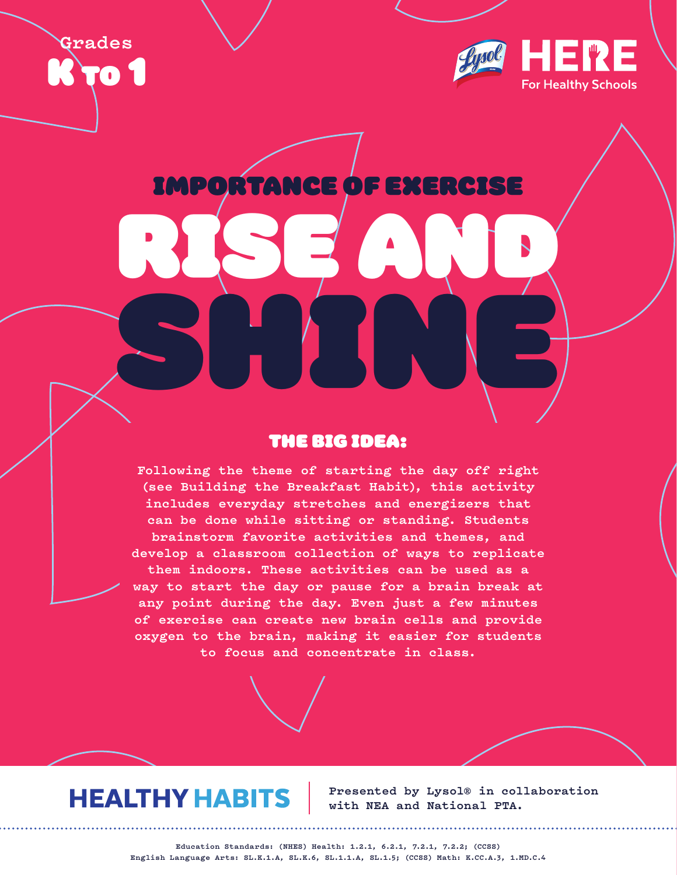



# IMPORTANCE OF EXERCISE

RISE AND

# THE BIG IDEA:

SHINE

**Following the theme of starting the day off right (see Building the Breakfast Habit), this activity includes everyday stretches and energizers that can be done while sitting or standing. Students brainstorm favorite activities and themes, and develop a classroom collection of ways to replicate them indoors. These activities can be used as a way to start the day or pause for a brain break at any point during the day. Even just a few minutes of exercise can create new brain cells and provide oxygen to the brain, making it easier for students to focus and concentrate in class.**

**HEALTHY HABITS** 

**Presented by Lysol® in collaboration with NEA and National PTA.**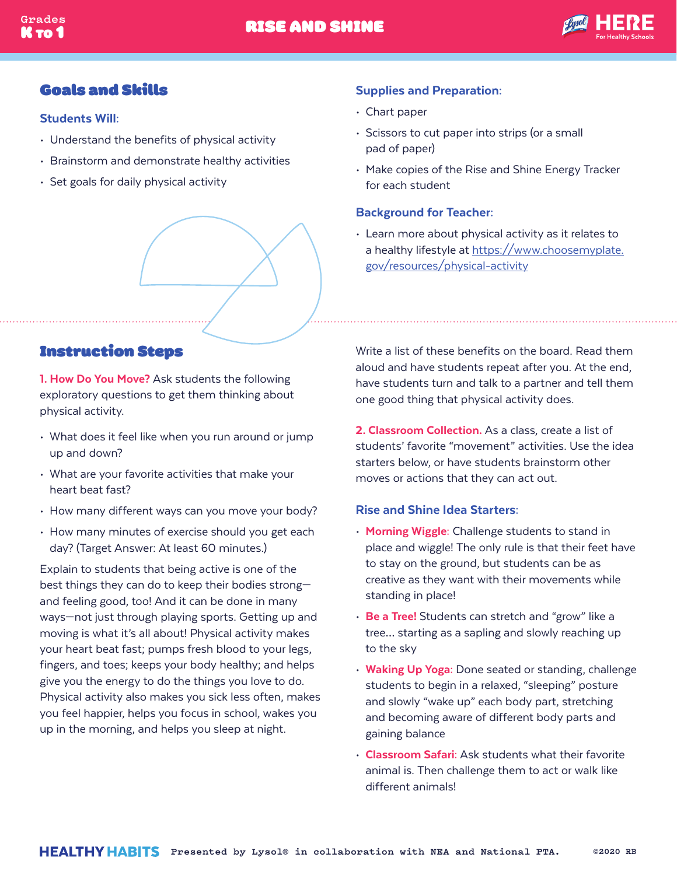

#### Goals and Skills

#### Students Will:

- Understand the benefits of physical activity
- Brainstorm and demonstrate healthy activities
- Set goals for daily physical activity

# Instruction Steps

1. How Do You Move? Ask students the following exploratory questions to get them thinking about physical activity.

- What does it feel like when you run around or jump up and down?
- What are your favorite activities that make your heart beat fast?
- How many different ways can you move your body?
- How many minutes of exercise should you get each day? (Target Answer: At least 60 minutes.)

Explain to students that being active is one of the best things they can do to keep their bodies strong and feeling good, too! And it can be done in many ways—not just through playing sports. Getting up and moving is what it's all about! Physical activity makes your heart beat fast; pumps fresh blood to your legs, fingers, and toes; keeps your body healthy; and helps give you the energy to do the things you love to do. Physical activity also makes you sick less often, makes you feel happier, helps you focus in school, wakes you up in the morning, and helps you sleep at night.

#### Supplies and Preparation:

- Chart paper
- Scissors to cut paper into strips (or a small pad of paper)
- Make copies of the Rise and Shine Energy Tracker for each student

#### Background for Teacher:

• Learn more about physical activity as it relates to a healthy lifestyle at https://www.choosemyplate. gov/resources/physical-activity

Write a list of these benefits on the board. Read them aloud and have students repeat after you. At the end, have students turn and talk to a partner and tell them one good thing that physical activity does.

2. Classroom Collection. As a class, create a list of students' favorite "movement" activities. Use the idea starters below, or have students brainstorm other moves or actions that they can act out.

#### Rise and Shine Idea Starters:

- Morning Wiggle: Challenge students to stand in place and wiggle! The only rule is that their feet have to stay on the ground, but students can be as creative as they want with their movements while standing in place!
- Be a Tree! Students can stretch and "grow" like a tree… starting as a sapling and slowly reaching up to the sky
- Waking Up Yoga: Done seated or standing, challenge students to begin in a relaxed, "sleeping" posture and slowly "wake up" each body part, stretching and becoming aware of different body parts and gaining balance
- Classroom Safari: Ask students what their favorite animal is. Then challenge them to act or walk like different animals!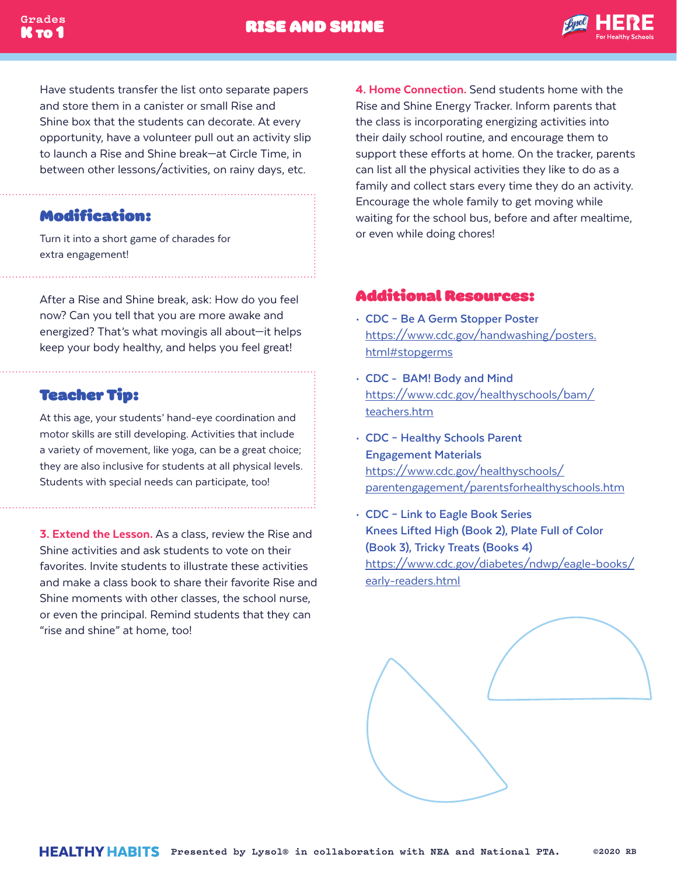

Have students transfer the list onto separate papers and store them in a canister or small Rise and Shine box that the students can decorate. At every opportunity, have a volunteer pull out an activity slip to launch a Rise and Shine break—at Circle Time, in between other lessons/activities, on rainy days, etc.

### Modification:

Turn it into a short game of charades for extra engagement!

After a Rise and Shine break, ask: How do you feel now? Can you tell that you are more awake and energized? That's what movingis all about—it helps keep your body healthy, and helps you feel great!

### Teacher Tip:

At this age, your students' hand-eye coordination and motor skills are still developing. Activities that include a variety of movement, like yoga, can be a great choice; they are also inclusive for students at all physical levels. Students with special needs can participate, too!

3. Extend the Lesson. As a class, review the Rise and Shine activities and ask students to vote on their favorites. Invite students to illustrate these activities and make a class book to share their favorite Rise and Shine moments with other classes, the school nurse, or even the principal. Remind students that they can "rise and shine" at home, too!

4. Home Connection. Send students home with the Rise and Shine Energy Tracker. Inform parents that the class is incorporating energizing activities into their daily school routine, and encourage them to support these efforts at home. On the tracker, parents can list all the physical activities they like to do as a family and collect stars every time they do an activity. Encourage the whole family to get moving while waiting for the school bus, before and after mealtime, or even while doing chores!

## Additional Resources:

- **CDC Be A Germ Stopper Poster**  https://www.cdc.gov/handwashing/posters. html#stopgerms
- **CDC BAM! Body and Mind** https://www.cdc.gov/healthyschools/bam/ teachers.htm
- **CDC Healthy Schools Parent Engagement Materials**  https://www.cdc.gov/healthyschools/ parentengagement/parentsforhealthyschools.htm
- **CDC Link to Eagle Book Series Knees Lifted High (Book 2), Plate Full of Color (Book 3), Tricky Treats (Books 4)**  https://www.cdc.gov/diabetes/ndwp/eagle-books/ early-readers.html